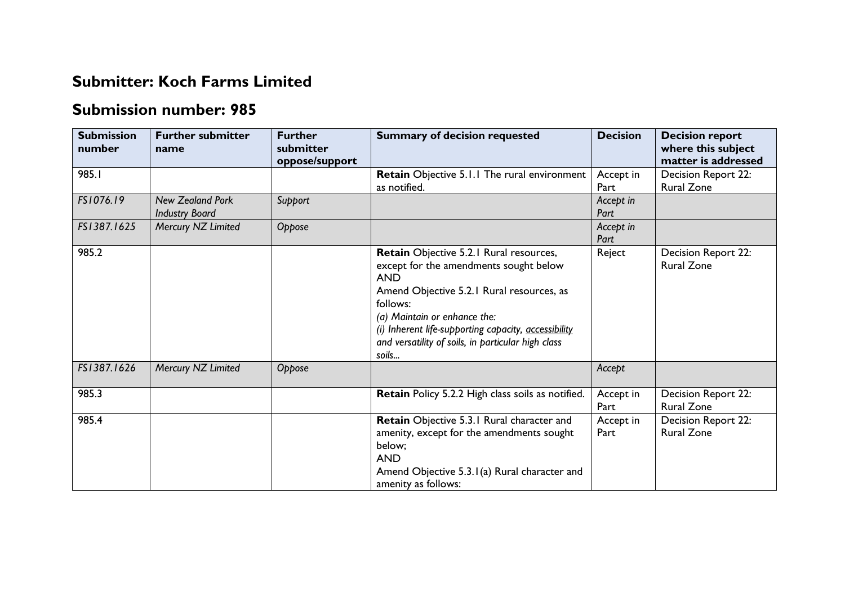## **Submitter: Koch Farms Limited**

## **Submission number: 985**

| <b>Submission</b><br>number | <b>Further submitter</b><br>name                 | <b>Further</b><br>submitter<br>oppose/support | <b>Summary of decision requested</b>                                                                                                                                                                                                                                                                            | <b>Decision</b>   | <b>Decision report</b><br>where this subject<br>matter is addressed |
|-----------------------------|--------------------------------------------------|-----------------------------------------------|-----------------------------------------------------------------------------------------------------------------------------------------------------------------------------------------------------------------------------------------------------------------------------------------------------------------|-------------------|---------------------------------------------------------------------|
| 985.1                       |                                                  |                                               | Retain Objective 5.1.1 The rural environment<br>as notified.                                                                                                                                                                                                                                                    | Accept in<br>Part | Decision Report 22:<br><b>Rural Zone</b>                            |
| FS1076.19                   | <b>New Zealand Pork</b><br><b>Industry Board</b> | Support                                       |                                                                                                                                                                                                                                                                                                                 | Accept in<br>Part |                                                                     |
| FS1387.1625                 | Mercury NZ Limited                               | Oppose                                        |                                                                                                                                                                                                                                                                                                                 | Accept in<br>Part |                                                                     |
| 985.2                       |                                                  |                                               | Retain Objective 5.2.1 Rural resources,<br>except for the amendments sought below<br><b>AND</b><br>Amend Objective 5.2.1 Rural resources, as<br>follows:<br>(a) Maintain or enhance the:<br>(i) Inherent life-supporting capacity, accessibility<br>and versatility of soils, in particular high class<br>soils | Reject            | Decision Report 22:<br><b>Rural Zone</b>                            |
| FS1387.1626                 | Mercury NZ Limited                               | Oppose                                        |                                                                                                                                                                                                                                                                                                                 | Accept            |                                                                     |
| 985.3                       |                                                  |                                               | Retain Policy 5.2.2 High class soils as notified.                                                                                                                                                                                                                                                               | Accept in<br>Part | Decision Report 22:<br><b>Rural Zone</b>                            |
| 985.4                       |                                                  |                                               | Retain Objective 5.3.1 Rural character and<br>amenity, except for the amendments sought<br>below;<br><b>AND</b><br>Amend Objective 5.3.1(a) Rural character and<br>amenity as follows:                                                                                                                          | Accept in<br>Part | Decision Report 22:<br><b>Rural Zone</b>                            |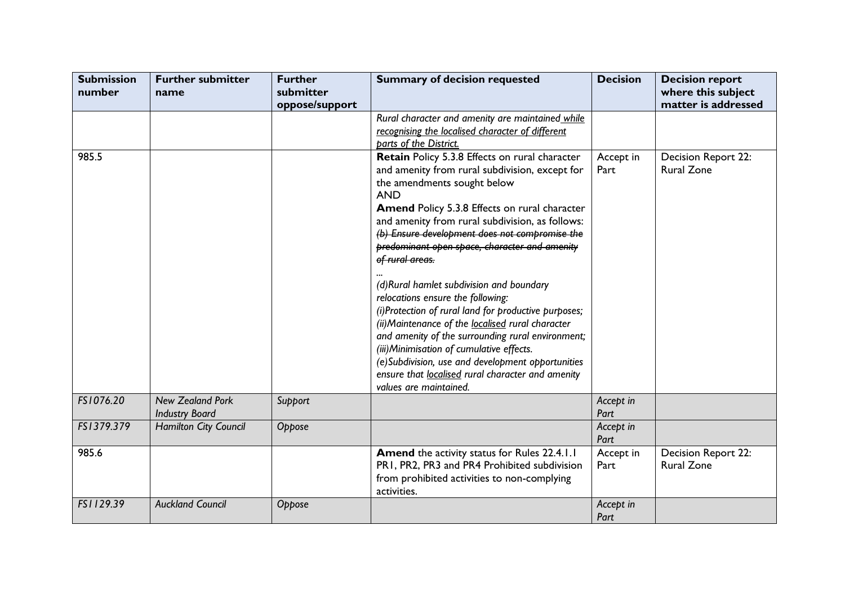| <b>Submission</b><br>number | <b>Further submitter</b><br>name                 | <b>Further</b><br>submitter<br>oppose/support | <b>Summary of decision requested</b>                                                                                                                                                                                                                                                                                                                                                                                                                                                                                                                                                                                                                                                                                                                                                                        | <b>Decision</b>   | <b>Decision report</b><br>where this subject<br>matter is addressed |
|-----------------------------|--------------------------------------------------|-----------------------------------------------|-------------------------------------------------------------------------------------------------------------------------------------------------------------------------------------------------------------------------------------------------------------------------------------------------------------------------------------------------------------------------------------------------------------------------------------------------------------------------------------------------------------------------------------------------------------------------------------------------------------------------------------------------------------------------------------------------------------------------------------------------------------------------------------------------------------|-------------------|---------------------------------------------------------------------|
|                             |                                                  |                                               | Rural character and amenity are maintained while<br>recognising the localised character of different<br>parts of the District.                                                                                                                                                                                                                                                                                                                                                                                                                                                                                                                                                                                                                                                                              |                   |                                                                     |
| 985.5                       |                                                  |                                               | Retain Policy 5.3.8 Effects on rural character<br>and amenity from rural subdivision, except for<br>the amendments sought below<br><b>AND</b><br>Amend Policy 5.3.8 Effects on rural character<br>and amenity from rural subdivision, as follows:<br>(b) Ensure development does not compromise the<br>predominant open space, character and amenity<br>of rural areas.<br>(d)Rural hamlet subdivision and boundary<br>relocations ensure the following:<br>(i)Protection of rural land for productive purposes;<br>(ii) Maintenance of the localised rural character<br>and amenity of the surrounding rural environment;<br>(iii) Minimisation of cumulative effects.<br>(e)Subdivision, use and development opportunities<br>ensure that localised rural character and amenity<br>values are maintained. | Accept in<br>Part | Decision Report 22:<br><b>Rural Zone</b>                            |
| FS1076.20                   | <b>New Zealand Pork</b><br><b>Industry Board</b> | Support                                       |                                                                                                                                                                                                                                                                                                                                                                                                                                                                                                                                                                                                                                                                                                                                                                                                             | Accept in<br>Part |                                                                     |
| FS1379.379                  | <b>Hamilton City Council</b>                     | Oppose                                        |                                                                                                                                                                                                                                                                                                                                                                                                                                                                                                                                                                                                                                                                                                                                                                                                             | Accept in<br>Part |                                                                     |
| 985.6                       |                                                  |                                               | Amend the activity status for Rules 22.4.1.1<br>PR1, PR2, PR3 and PR4 Prohibited subdivision<br>from prohibited activities to non-complying<br>activities.                                                                                                                                                                                                                                                                                                                                                                                                                                                                                                                                                                                                                                                  | Accept in<br>Part | Decision Report 22:<br><b>Rural Zone</b>                            |
| FS1129.39                   | <b>Auckland Council</b>                          | Oppose                                        |                                                                                                                                                                                                                                                                                                                                                                                                                                                                                                                                                                                                                                                                                                                                                                                                             | Accept in<br>Part |                                                                     |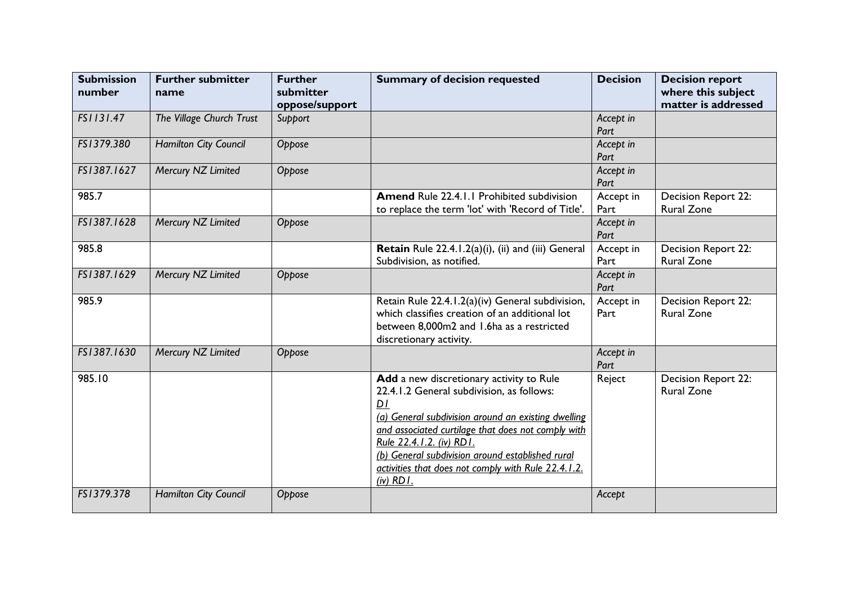| <b>Submission</b><br>number | <b>Further submitter</b><br>name | <b>Further</b><br>submitter<br>oppose/support | <b>Summary of decision requested</b>                                                                                                                                                                                                                                                                                                                            | <b>Decision</b>   | <b>Decision report</b><br>where this subject<br>matter is addressed |
|-----------------------------|----------------------------------|-----------------------------------------------|-----------------------------------------------------------------------------------------------------------------------------------------------------------------------------------------------------------------------------------------------------------------------------------------------------------------------------------------------------------------|-------------------|---------------------------------------------------------------------|
| FS1131.47                   | The Village Church Trust         | Support                                       |                                                                                                                                                                                                                                                                                                                                                                 | Accept in<br>Part |                                                                     |
| FS1379.380                  | <b>Hamilton City Council</b>     | Oppose                                        |                                                                                                                                                                                                                                                                                                                                                                 | Accept in<br>Part |                                                                     |
| FS1387.1627                 | Mercury NZ Limited               | Oppose                                        |                                                                                                                                                                                                                                                                                                                                                                 | Accept in<br>Part |                                                                     |
| 985.7                       |                                  |                                               | Amend Rule 22.4.1.1 Prohibited subdivision<br>to replace the term 'lot' with 'Record of Title'.                                                                                                                                                                                                                                                                 | Accept in<br>Part | Decision Report 22:<br><b>Rural Zone</b>                            |
| FS1387.1628                 | Mercury NZ Limited               | Oppose                                        |                                                                                                                                                                                                                                                                                                                                                                 | Accept in<br>Part |                                                                     |
| 985.8                       |                                  |                                               | Retain Rule 22.4.1.2(a)(i), (ii) and (iii) General<br>Subdivision, as notified.                                                                                                                                                                                                                                                                                 | Accept in<br>Part | Decision Report 22:<br><b>Rural Zone</b>                            |
| FS1387.1629                 | Mercury NZ Limited               | Oppose                                        |                                                                                                                                                                                                                                                                                                                                                                 | Accept in<br>Part |                                                                     |
| 985.9                       |                                  |                                               | Retain Rule 22.4.1.2(a)(iv) General subdivision,<br>which classifies creation of an additional lot<br>between 8,000m2 and 1.6ha as a restricted<br>discretionary activity.                                                                                                                                                                                      | Accept in<br>Part | Decision Report 22:<br><b>Rural Zone</b>                            |
| FS1387.1630                 | Mercury NZ Limited               | Oppose                                        |                                                                                                                                                                                                                                                                                                                                                                 | Accept in<br>Part |                                                                     |
| 985.10                      |                                  |                                               | Add a new discretionary activity to Rule<br>22.4.1.2 General subdivision, as follows:<br>DI<br>(a) General subdivision around an existing dwelling<br>and associated curtilage that does not comply with<br>Rule 22.4.1.2. (iv) RD1.<br>(b) General subdivision around established rural<br>activities that does not comply with Rule 22.4.1.2.<br>$(iv)$ RD I. | Reject            | <b>Decision Report 22:</b><br><b>Rural Zone</b>                     |
| FS1379.378                  | Hamilton City Council            | Oppose                                        |                                                                                                                                                                                                                                                                                                                                                                 | Accept            |                                                                     |